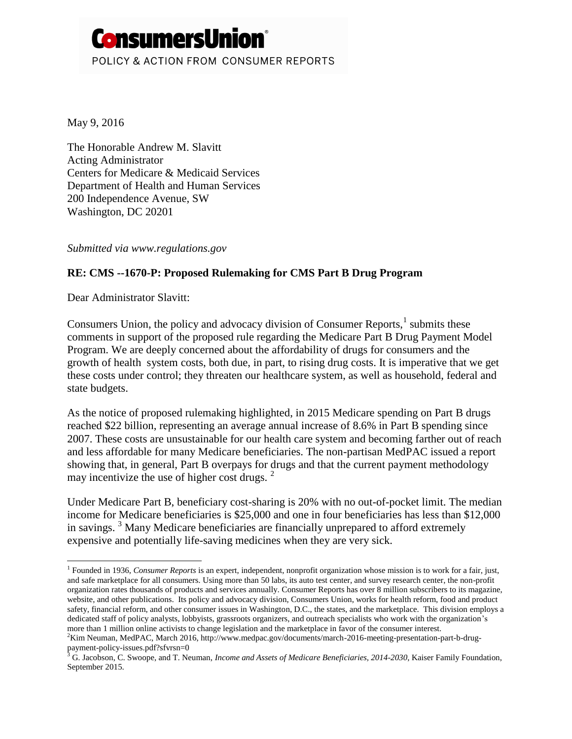May 9, 2016

The Honorable Andrew M. Slavitt Acting Administrator Centers for Medicare & Medicaid Services Department of Health and Human Services 200 Independence Avenue, SW Washington, DC 20201

*Submitted via www.regulations.gov*

## **RE: CMS --1670-P: Proposed Rulemaking for CMS Part B Drug Program**

Dear Administrator Slavitt:

Consumers Union, the policy and advocacy division of Consumer Reports, $<sup>1</sup>$  submits these</sup> comments in support of the proposed rule regarding the Medicare Part B Drug Payment Model Program. We are deeply concerned about the affordability of drugs for consumers and the growth of health system costs, both due, in part, to rising drug costs. It is imperative that we get these costs under control; they threaten our healthcare system, as well as household, federal and state budgets.

As the notice of proposed rulemaking highlighted, in 2015 Medicare spending on Part B drugs reached \$22 billion, representing an average annual increase of 8.6% in Part B spending since 2007. These costs are unsustainable for our health care system and becoming farther out of reach and less affordable for many Medicare beneficiaries. The non-partisan MedPAC issued a report showing that, in general, Part B overpays for drugs and that the current payment methodology may incentivize the use of higher cost drugs.<sup>2</sup>

Under Medicare Part B, beneficiary cost-sharing is 20% with no out-of-pocket limit. The median income for Medicare beneficiaries is \$25,000 and one in four beneficiaries has less than \$12,000 in savings.<sup>3</sup> Many Medicare beneficiaries are financially unprepared to afford extremely expensive and potentially life-saving medicines when they are very sick.

<sup>&</sup>lt;sup>1</sup> Founded in 1936, *Consumer Reports* is an expert, independent, nonprofit organization whose mission is to work for a fair, just, and safe marketplace for all consumers. Using more than 50 labs, its auto test center, and survey research center, the non-profit organization rates thousands of products and services annually. Consumer Reports has over 8 million subscribers to its magazine, website, and other publications. Its policy and advocacy division, Consumers Union, works for health reform, food and product safety, financial reform, and other consumer issues in Washington, D.C., the states, and the marketplace. This division employs a dedicated staff of policy analysts, lobbyists, grassroots organizers, and outreach specialists who work with the organization's more than 1 million online activists to change legislation and the marketplace in favor of the consumer interest.

<sup>&</sup>lt;sup>2</sup>Kim Neuman, MedPAC, March 2016, http://www.medpac.gov/documents/march-2016-meeting-presentation-part-b-drugpayment-policy-issues.pdf?sfvrsn=0<br> $\frac{3}{5}$  G. Jacob

<sup>3</sup> G. Jacobson, C. Swoope, and T. Neuman, *Income and Assets of Medicare Beneficiaries, 2014-2030*, Kaiser Family Foundation, September 2015.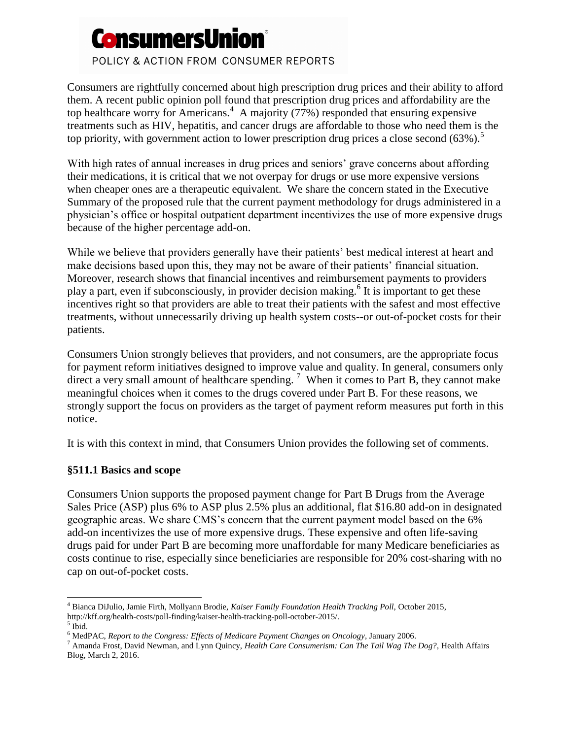Consumers are rightfully concerned about high prescription drug prices and their ability to afford them. A recent public opinion poll found that prescription drug prices and affordability are the top healthcare worry for Americans.<sup>4</sup> A majority (77%) responded that ensuring expensive treatments such as HIV, hepatitis, and cancer drugs are affordable to those who need them is the top priority, with government action to lower prescription drug prices a close second  $(63\%)$ .<sup>5</sup>

With high rates of annual increases in drug prices and seniors' grave concerns about affording their medications, it is critical that we not overpay for drugs or use more expensive versions when cheaper ones are a therapeutic equivalent. We share the concern stated in the Executive Summary of the proposed rule that the current payment methodology for drugs administered in a physician's office or hospital outpatient department incentivizes the use of more expensive drugs because of the higher percentage add-on.

While we believe that providers generally have their patients' best medical interest at heart and make decisions based upon this, they may not be aware of their patients' financial situation. Moreover, research shows that financial incentives and reimbursement payments to providers play a part, even if subconsciously, in provider decision making.<sup>6</sup> It is important to get these incentives right so that providers are able to treat their patients with the safest and most effective treatments, without unnecessarily driving up health system costs--or out-of-pocket costs for their patients.

Consumers Union strongly believes that providers, and not consumers, are the appropriate focus for payment reform initiatives designed to improve value and quality. In general, consumers only direct a very small amount of healthcare spending.<sup>7</sup> When it comes to Part B, they cannot make meaningful choices when it comes to the drugs covered under Part B. For these reasons, we strongly support the focus on providers as the target of payment reform measures put forth in this notice.

It is with this context in mind, that Consumers Union provides the following set of comments.

### **§511.1 Basics and scope**

Consumers Union supports the proposed payment change for Part B Drugs from the Average Sales Price (ASP) plus 6% to ASP plus 2.5% plus an additional, flat \$16.80 add-on in designated geographic areas. We share CMS's concern that the current payment model based on the 6% add-on incentivizes the use of more expensive drugs. These expensive and often life-saving drugs paid for under Part B are becoming more unaffordable for many Medicare beneficiaries as costs continue to rise, especially since beneficiaries are responsible for 20% cost-sharing with no cap on out-of-pocket costs.

 $\overline{a}$ <sup>4</sup> Bianca DiJulio, Jamie Firth, Mollyann Brodie, *Kaiser Family Foundation Health Tracking Poll,* October 2015, [http://k](http://kff.org/health-costs/poll-finding/kaiser-health-tracking-poll-october-2015/)f[f.org/health-costs/poll-finding/kaiser-health-tracking-poll-october-2015/.](http://kff.org/health-costs/poll-finding/kaiser-health-tracking-poll-october-2015/) 5 Ibid.

<sup>6</sup> MedPAC, *Report to the Congress: Effects of Medicare Payment Changes on Oncology*, January 2006.

<sup>7</sup> Amanda Frost, David Newman, and Lynn Quincy, *Health Care Consumerism: Can The Tail Wag The Dog?,* Health Affairs Blog, March 2, 2016.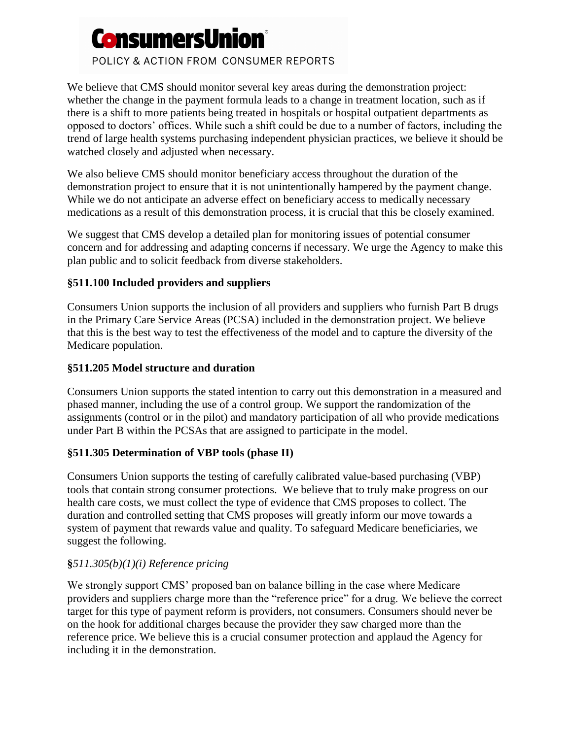We believe that CMS should monitor several key areas during the demonstration project: whether the change in the payment formula leads to a change in treatment location, such as if there is a shift to more patients being treated in hospitals or hospital outpatient departments as opposed to doctors' offices. While such a shift could be due to a number of factors, including the trend of large health systems purchasing independent physician practices, we believe it should be watched closely and adjusted when necessary.

We also believe CMS should monitor beneficiary access throughout the duration of the demonstration project to ensure that it is not unintentionally hampered by the payment change. While we do not anticipate an adverse effect on beneficiary access to medically necessary medications as a result of this demonstration process, it is crucial that this be closely examined.

We suggest that CMS develop a detailed plan for monitoring issues of potential consumer concern and for addressing and adapting concerns if necessary. We urge the Agency to make this plan public and to solicit feedback from diverse stakeholders.

## **§511.100 Included providers and suppliers**

Consumers Union supports the inclusion of all providers and suppliers who furnish Part B drugs in the Primary Care Service Areas (PCSA) included in the demonstration project. We believe that this is the best way to test the effectiveness of the model and to capture the diversity of the Medicare population.

## **§511.205 Model structure and duration**

Consumers Union supports the stated intention to carry out this demonstration in a measured and phased manner, including the use of a control group. We support the randomization of the assignments (control or in the pilot) and mandatory participation of all who provide medications under Part B within the PCSAs that are assigned to participate in the model.

### **§511.305 Determination of VBP tools (phase II)**

Consumers Union supports the testing of carefully calibrated value-based purchasing (VBP) tools that contain strong consumer protections. We believe that to truly make progress on our health care costs, we must collect the type of evidence that CMS proposes to collect. The duration and controlled setting that CMS proposes will greatly inform our move towards a system of payment that rewards value and quality. To safeguard Medicare beneficiaries, we suggest the following.

### **§***511.305(b)(1)(i) Reference pricing*

We strongly support CMS' proposed ban on balance billing in the case where Medicare providers and suppliers charge more than the "reference price" for a drug. We believe the correct target for this type of payment reform is providers, not consumers. Consumers should never be on the hook for additional charges because the provider they saw charged more than the reference price. We believe this is a crucial consumer protection and applaud the Agency for including it in the demonstration.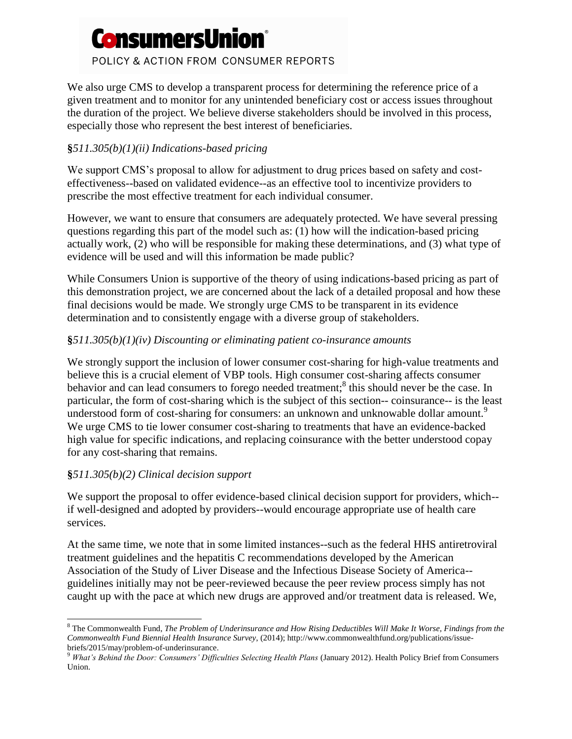We also urge CMS to develop a transparent process for determining the reference price of a given treatment and to monitor for any unintended beneficiary cost or access issues throughout the duration of the project. We believe diverse stakeholders should be involved in this process, especially those who represent the best interest of beneficiaries.

# **§***511.305(b)(1)(ii) Indications-based pricing*

We support CMS's proposal to allow for adjustment to drug prices based on safety and costeffectiveness--based on validated evidence--as an effective tool to incentivize providers to prescribe the most effective treatment for each individual consumer.

However, we want to ensure that consumers are adequately protected. We have several pressing questions regarding this part of the model such as: (1) how will the indication-based pricing actually work, (2) who will be responsible for making these determinations, and (3) what type of evidence will be used and will this information be made public?

While Consumers Union is supportive of the theory of using indications-based pricing as part of this demonstration project, we are concerned about the lack of a detailed proposal and how these final decisions would be made. We strongly urge CMS to be transparent in its evidence determination and to consistently engage with a diverse group of stakeholders.

# **§***511.305(b)(1)(iv) Discounting or eliminating patient co-insurance amounts*

We strongly support the inclusion of lower consumer cost-sharing for high-value treatments and believe this is a crucial element of VBP tools. High consumer cost-sharing affects consumer behavior and can lead consumers to forego needed treatment;<sup>8</sup> this should never be the case. In particular, the form of cost-sharing which is the subject of this section-- coinsurance-- is the least understood form of cost-sharing for consumers: an unknown and unknowable dollar amount.<sup>9</sup> We urge CMS to tie lower consumer cost-sharing to treatments that have an evidence-backed high value for specific indications, and replacing coinsurance with the better understood copay for any cost-sharing that remains.

# **§***511.305(b)(2) Clinical decision support*

We support the proposal to offer evidence-based clinical decision support for providers, which- if well-designed and adopted by providers--would encourage appropriate use of health care services.

At the same time, we note that in some limited instances--such as the federal HHS antiretroviral treatment guidelines and the hepatitis C recommendations developed by the American Association of the Study of Liver Disease and the Infectious Disease Society of America- guidelines initially may not be peer-reviewed because the peer review process simply has not caught up with the pace at which new drugs are approved and/or treatment data is released. We,

 $\overline{a}$ <sup>8</sup> The Commonwealth Fund, *The Problem of Underinsurance and How Rising Deductibles Will Make It Worse, Findings from the Commonwealth Fund Biennial Health Insurance Survey*, (2014)[; http://www.commonwealthfund.org/publications/issue](http://www.commonwealthfund.org/publications/issue-briefs/2015/may/problem-of-underinsurance)[briefs/2015/may/problem-of-underinsurance.](http://www.commonwealthfund.org/publications/issue-briefs/2015/may/problem-of-underinsurance)

<sup>9</sup> *What's Behind the Door: Consumers' Difficulties Selecting Health Plans* (January 2012). Health Policy Brief from Consumers Union.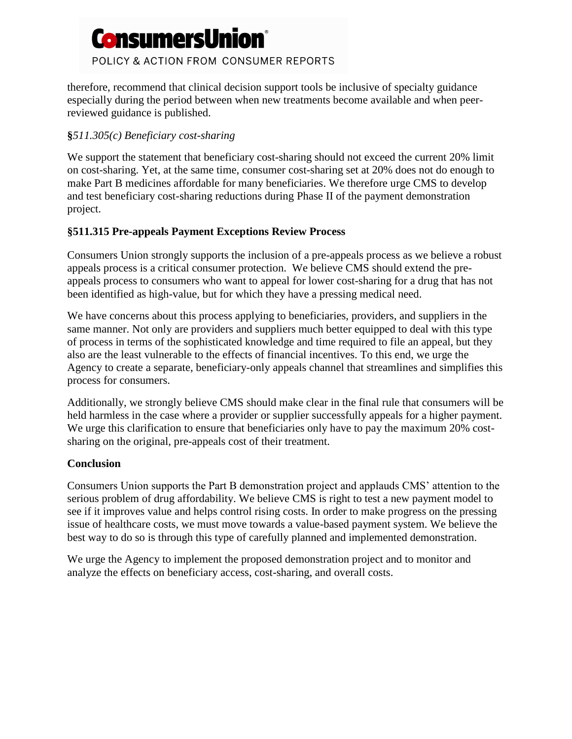

therefore, recommend that clinical decision support tools be inclusive of specialty guidance especially during the period between when new treatments become available and when peerreviewed guidance is published.

### **§***511.305(c) Beneficiary cost-sharing*

We support the statement that beneficiary cost-sharing should not exceed the current 20% limit on cost-sharing. Yet, at the same time, consumer cost-sharing set at 20% does not do enough to make Part B medicines affordable for many beneficiaries. We therefore urge CMS to develop and test beneficiary cost-sharing reductions during Phase II of the payment demonstration project.

### **§511.315 Pre-appeals Payment Exceptions Review Process**

Consumers Union strongly supports the inclusion of a pre-appeals process as we believe a robust appeals process is a critical consumer protection. We believe CMS should extend the preappeals process to consumers who want to appeal for lower cost-sharing for a drug that has not been identified as high-value, but for which they have a pressing medical need.

We have concerns about this process applying to beneficiaries, providers, and suppliers in the same manner. Not only are providers and suppliers much better equipped to deal with this type of process in terms of the sophisticated knowledge and time required to file an appeal, but they also are the least vulnerable to the effects of financial incentives. To this end, we urge the Agency to create a separate, beneficiary-only appeals channel that streamlines and simplifies this process for consumers.

Additionally, we strongly believe CMS should make clear in the final rule that consumers will be held harmless in the case where a provider or supplier successfully appeals for a higher payment. We urge this clarification to ensure that beneficiaries only have to pay the maximum 20% costsharing on the original, pre-appeals cost of their treatment.

### **Conclusion**

Consumers Union supports the Part B demonstration project and applauds CMS' attention to the serious problem of drug affordability. We believe CMS is right to test a new payment model to see if it improves value and helps control rising costs. In order to make progress on the pressing issue of healthcare costs, we must move towards a value-based payment system. We believe the best way to do so is through this type of carefully planned and implemented demonstration.

We urge the Agency to implement the proposed demonstration project and to monitor and analyze the effects on beneficiary access, cost-sharing, and overall costs.